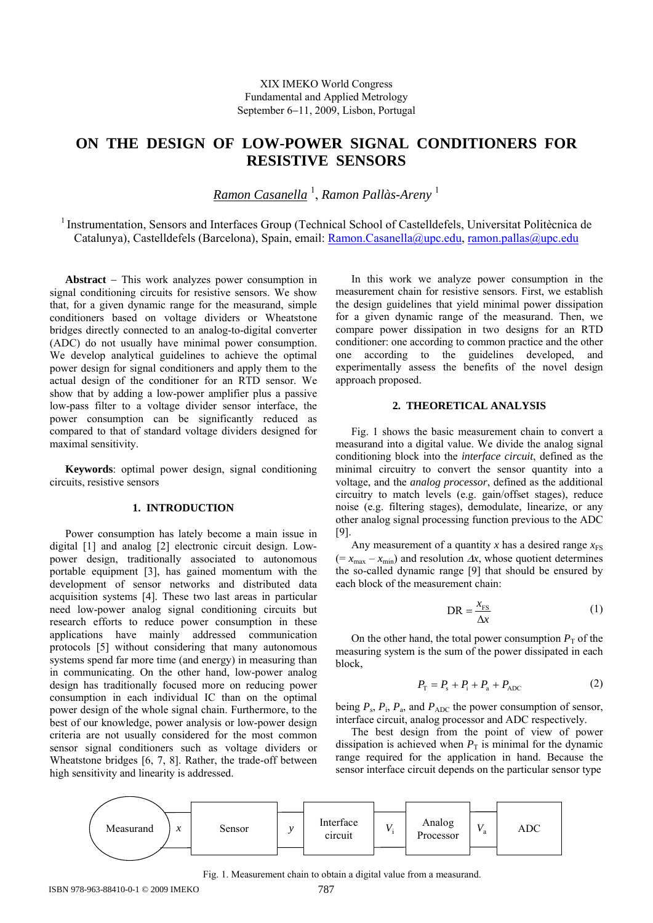# **ON THE DESIGN OF LOW-POWER SIGNAL CONDITIONERS FOR RESISTIVE SENSORS**

*Ramon Casanella* <sup>1</sup> , *Ramon Pallàs-Areny* <sup>1</sup>

<sup>1</sup> Instrumentation, Sensors and Interfaces Group (Technical School of Castelldefels, Universitat Politècnica de Catalunya), Castelldefels (Barcelona), Spain, email: Ramon.Casanella@upc.edu, ramon.pallas@upc.edu

**Abstract** – This work analyzes power consumption in signal conditioning circuits for resistive sensors. We show that, for a given dynamic range for the measurand, simple conditioners based on voltage dividers or Wheatstone bridges directly connected to an analog-to-digital converter (ADC) do not usually have minimal power consumption. We develop analytical guidelines to achieve the optimal power design for signal conditioners and apply them to the actual design of the conditioner for an RTD sensor. We show that by adding a low-power amplifier plus a passive low-pass filter to a voltage divider sensor interface, the power consumption can be significantly reduced as compared to that of standard voltage dividers designed for maximal sensitivity.

**Keywords**: optimal power design, signal conditioning circuits, resistive sensors

# **1. INTRODUCTION**

Power consumption has lately become a main issue in digital [1] and analog [2] electronic circuit design. Lowpower design, traditionally associated to autonomous portable equipment [3], has gained momentum with the development of sensor networks and distributed data acquisition systems [4]. These two last areas in particular need low-power analog signal conditioning circuits but research efforts to reduce power consumption in these applications have mainly addressed communication protocols [5] without considering that many autonomous systems spend far more time (and energy) in measuring than in communicating. On the other hand, low-power analog design has traditionally focused more on reducing power consumption in each individual IC than on the optimal power design of the whole signal chain. Furthermore, to the best of our knowledge, power analysis or low-power design criteria are not usually considered for the most common sensor signal conditioners such as voltage dividers or Wheatstone bridges [6, 7, 8]. Rather, the trade-off between high sensitivity and linearity is addressed.

In this work we analyze power consumption in the measurement chain for resistive sensors. First, we establish the design guidelines that yield minimal power dissipation for a given dynamic range of the measurand. Then, we compare power dissipation in two designs for an RTD conditioner: one according to common practice and the other one according to the guidelines developed, and experimentally assess the benefits of the novel design approach proposed.

#### **2. THEORETICAL ANALYSIS**

Fig. 1 shows the basic measurement chain to convert a measurand into a digital value. We divide the analog signal conditioning block into the *interface circuit*, defined as the minimal circuitry to convert the sensor quantity into a voltage, and the *analog processor*, defined as the additional circuitry to match levels (e.g. gain/offset stages), reduce noise (e.g. filtering stages), demodulate, linearize, or any other analog signal processing function previous to the ADC [9].

Any measurement of a quantity x has a desired range  $x_{FS}$  $(= x_{\text{max}} - x_{\text{min}})$  and resolution  $\Delta x$ , whose quotient determines the so-called dynamic range [9] that should be ensured by each block of the measurement chain:

$$
DR = \frac{x_{FS}}{\Delta x}
$$
 (1)

On the other hand, the total power consumption  $P<sub>T</sub>$  of the measuring system is the sum of the power dissipated in each block,

$$
P_{\rm T} = P_{\rm s} + P_{\rm i} + P_{\rm a} + P_{\rm ADC} \tag{2}
$$

being  $P_s$ ,  $P_i$ ,  $P_a$ , and  $P_{ADC}$  the power consumption of sensor, interface circuit, analog processor and ADC respectively.

The best design from the point of view of power dissipation is achieved when  $P<sub>T</sub>$  is minimal for the dynamic range required for the application in hand. Because the sensor interface circuit depends on the particular sensor type



Fig. 1. Measurement chain to obtain a digital value from a measurand.

ISBN 978-963-88410-0-1 © 2009 IMEKO 787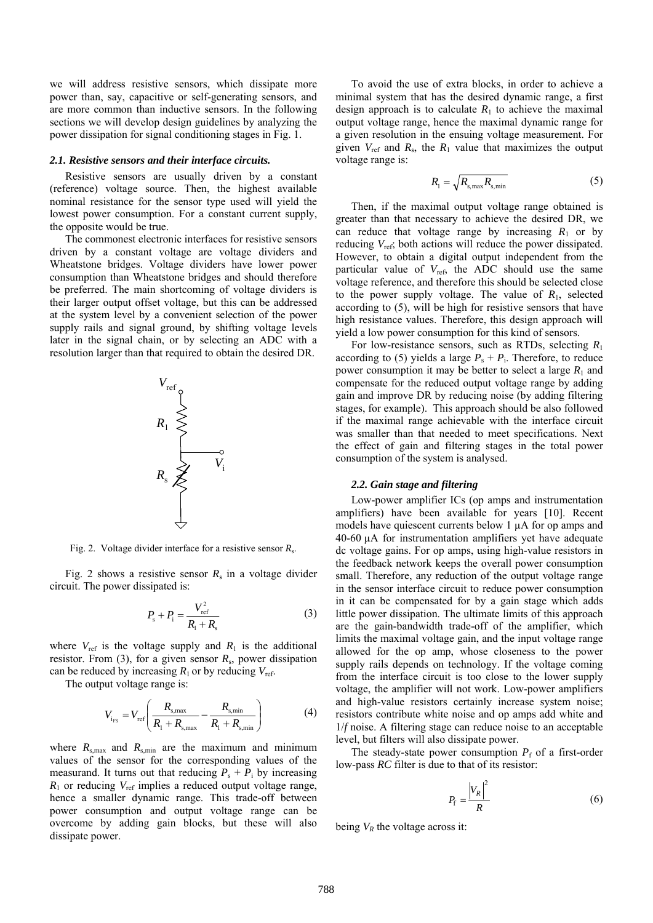we will address resistive sensors, which dissipate more power than, say, capacitive or self-generating sensors, and are more common than inductive sensors. In the following sections we will develop design guidelines by analyzing the power dissipation for signal conditioning stages in Fig. 1.

#### *2.1. Resistive sensors and their interface circuits.*

Resistive sensors are usually driven by a constant (reference) voltage source. Then, the highest available nominal resistance for the sensor type used will yield the lowest power consumption. For a constant current supply, the opposite would be true.

The commonest electronic interfaces for resistive sensors driven by a constant voltage are voltage dividers and Wheatstone bridges. Voltage dividers have lower power consumption than Wheatstone bridges and should therefore be preferred. The main shortcoming of voltage dividers is their larger output offset voltage, but this can be addressed at the system level by a convenient selection of the power supply rails and signal ground, by shifting voltage levels later in the signal chain, or by selecting an ADC with a resolution larger than that required to obtain the desired DR.



Fig. 2. Voltage divider interface for a resistive sensor *R*s.

Fig. 2 shows a resistive sensor  $R_s$  in a voltage divider circuit. The power dissipated is:

$$
P_{\rm s} + P_{\rm i} = \frac{V_{\rm ref}^2}{R_{\rm i} + R_{\rm s}}
$$
 (3)

where  $V_{ref}$  is the voltage supply and  $R_1$  is the additional resistor. From (3), for a given sensor *R*s, power dissipation can be reduced by increasing  $R_1$  or by reducing  $V_{ref}$ .

The output voltage range is:

$$
V_{i_{\rm FS}} = V_{\rm ref} \left( \frac{R_{\rm s,max}}{R_{\rm 1} + R_{\rm s,max}} - \frac{R_{\rm s,min}}{R_{\rm 1} + R_{\rm s,min}} \right) \tag{4}
$$

where  $R_{s, max}$  and  $R_{s, min}$  are the maximum and minimum values of the sensor for the corresponding values of the measurand. It turns out that reducing  $P_s + P_i$  by increasing  $R_1$  or reducing  $V_{ref}$  implies a reduced output voltage range, hence a smaller dynamic range. This trade-off between power consumption and output voltage range can be overcome by adding gain blocks, but these will also dissipate power.

To avoid the use of extra blocks, in order to achieve a minimal system that has the desired dynamic range, a first design approach is to calculate  $R_1$  to achieve the maximal output voltage range, hence the maximal dynamic range for a given resolution in the ensuing voltage measurement. For given  $V_{\text{ref}}$  and  $R_{\text{s}}$ , the  $R_1$  value that maximizes the output voltage range is:

$$
R_{\rm l} = \sqrt{R_{\rm s,max} R_{\rm s,min}}\tag{5}
$$

Then, if the maximal output voltage range obtained is greater than that necessary to achieve the desired DR, we can reduce that voltage range by increasing  $R_1$  or by reducing  $V_{\text{ref}}$ ; both actions will reduce the power dissipated. However, to obtain a digital output independent from the particular value of  $V_{\text{ref}}$ , the ADC should use the same voltage reference, and therefore this should be selected close to the power supply voltage. The value of  $R_1$ , selected according to (5), will be high for resistive sensors that have high resistance values. Therefore, this design approach will yield a low power consumption for this kind of sensors.

For low-resistance sensors, such as RTDs, selecting *R*<sup>1</sup> according to (5) yields a large  $P_s + P_i$ . Therefore, to reduce power consumption it may be better to select a large  $R_1$  and compensate for the reduced output voltage range by adding gain and improve DR by reducing noise (by adding filtering stages, for example). This approach should be also followed if the maximal range achievable with the interface circuit was smaller than that needed to meet specifications. Next the effect of gain and filtering stages in the total power consumption of the system is analysed.

### *2.2. Gain stage and filtering*

Low-power amplifier ICs (op amps and instrumentation amplifiers) have been available for years [10]. Recent models have quiescent currents below 1 µA for op amps and 40-60 µA for instrumentation amplifiers yet have adequate dc voltage gains. For op amps, using high-value resistors in the feedback network keeps the overall power consumption small. Therefore, any reduction of the output voltage range in the sensor interface circuit to reduce power consumption in it can be compensated for by a gain stage which adds little power dissipation. The ultimate limits of this approach are the gain-bandwidth trade-off of the amplifier, which limits the maximal voltage gain, and the input voltage range allowed for the op amp, whose closeness to the power supply rails depends on technology. If the voltage coming from the interface circuit is too close to the lower supply voltage, the amplifier will not work. Low-power amplifiers and high-value resistors certainly increase system noise; resistors contribute white noise and op amps add white and 1/*f* noise. A filtering stage can reduce noise to an acceptable level, but filters will also dissipate power.

The steady-state power consumption  $P_f$  of a first-order low-pass *RC* filter is due to that of its resistor:

$$
P_{\rm f} = \frac{\left|V_R\right|^2}{R} \tag{6}
$$

being  $V_R$  the voltage across it: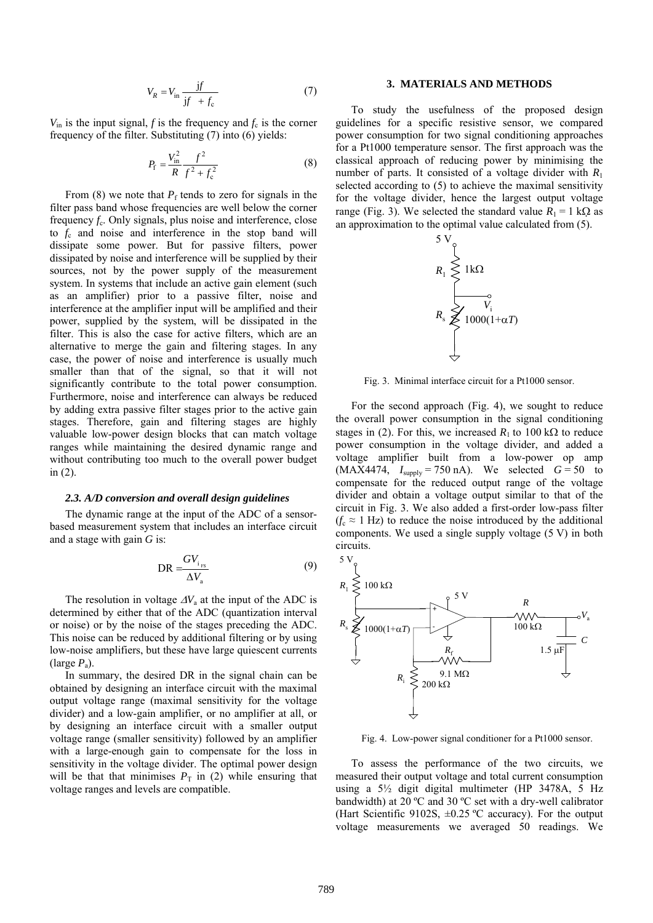$$
V_R = V_{\text{in}} \frac{\text{j}f}{\text{j}f + f_{\text{c}}} \tag{7}
$$

 $V_{\text{in}}$  is the input signal, *f* is the frequency and  $f_c$  is the corner frequency of the filter. Substituting (7) into (6) yields:

$$
P_{\rm f} = \frac{V_{\rm in}^2}{R} \frac{f^2}{f^2 + f_{\rm c}^2} \tag{8}
$$

From (8) we note that  $P_f$  tends to zero for signals in the filter pass band whose frequencies are well below the corner frequency  $f_c$ . Only signals, plus noise and interference, close to *f*c and noise and interference in the stop band will dissipate some power. But for passive filters, power dissipated by noise and interference will be supplied by their sources, not by the power supply of the measurement system. In systems that include an active gain element (such as an amplifier) prior to a passive filter, noise and interference at the amplifier input will be amplified and their power, supplied by the system, will be dissipated in the filter. This is also the case for active filters, which are an alternative to merge the gain and filtering stages. In any case, the power of noise and interference is usually much smaller than that of the signal, so that it will not significantly contribute to the total power consumption. Furthermore, noise and interference can always be reduced by adding extra passive filter stages prior to the active gain stages. Therefore, gain and filtering stages are highly valuable low-power design blocks that can match voltage ranges while maintaining the desired dynamic range and without contributing too much to the overall power budget in (2).

#### *2.3. A/D conversion and overall design guidelines*

The dynamic range at the input of the ADC of a sensorbased measurement system that includes an interface circuit and a stage with gain *G* is:

$$
DR = \frac{GV_{i_{FS}}}{\Delta V_a}
$$
 (9)

The resolution in voltage  $\Delta V_a$  at the input of the ADC is determined by either that of the ADC (quantization interval or noise) or by the noise of the stages preceding the ADC. This noise can be reduced by additional filtering or by using low-noise amplifiers, but these have large quiescent currents (large *P*a).

In summary, the desired DR in the signal chain can be obtained by designing an interface circuit with the maximal output voltage range (maximal sensitivity for the voltage divider) and a low-gain amplifier, or no amplifier at all, or by designing an interface circuit with a smaller output voltage range (smaller sensitivity) followed by an amplifier with a large-enough gain to compensate for the loss in sensitivity in the voltage divider. The optimal power design will be that that minimises  $P<sub>T</sub>$  in (2) while ensuring that voltage ranges and levels are compatible.

#### **3. MATERIALS AND METHODS**

To study the usefulness of the proposed design guidelines for a specific resistive sensor, we compared power consumption for two signal conditioning approaches for a Pt1000 temperature sensor. The first approach was the classical approach of reducing power by minimising the number of parts. It consisted of a voltage divider with  $R_1$ selected according to (5) to achieve the maximal sensitivity for the voltage divider, hence the largest output voltage range (Fig. 3). We selected the standard value  $R_1 = 1$  k $\Omega$  as an approximation to the optimal value calculated from (5).



Fig. 3. Minimal interface circuit for a Pt1000 sensor.

For the second approach (Fig. 4), we sought to reduce the overall power consumption in the signal conditioning stages in (2). For this, we increased  $R_1$  to 100 k $\Omega$  to reduce power consumption in the voltage divider, and added a voltage amplifier built from a low-power op amp  $(MAX4474, I<sub>suby</sub> = 750 nA)$ . We selected  $G = 50$  to compensate for the reduced output range of the voltage divider and obtain a voltage output similar to that of the circuit in Fig. 3. We also added a first-order low-pass filter  $(f_c \approx 1 \text{ Hz})$  to reduce the noise introduced by the additional components. We used a single supply voltage (5 V) in both circuits.



Fig. 4. Low-power signal conditioner for a Pt1000 sensor.

To assess the performance of the two circuits, we measured their output voltage and total current consumption using a 5½ digit digital multimeter (HP 3478A, 5 Hz bandwidth) at 20 ºC and 30 ºC set with a dry-well calibrator (Hart Scientific 9102S,  $\pm 0.25$  °C accuracy). For the output voltage measurements we averaged 50 readings. We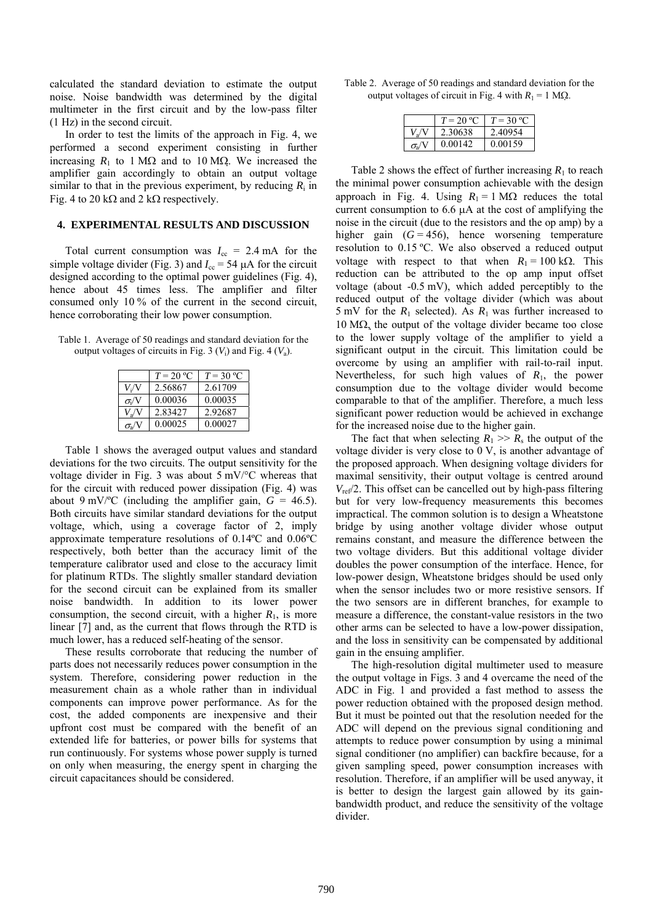calculated the standard deviation to estimate the output noise. Noise bandwidth was determined by the digital multimeter in the first circuit and by the low-pass filter (1 Hz) in the second circuit.

In order to test the limits of the approach in Fig. 4, we performed a second experiment consisting in further increasing  $R_1$  to 1 M $\Omega$  and to 10 M $\Omega$ . We increased the amplifier gain accordingly to obtain an output voltage similar to that in the previous experiment, by reducing  $R_i$  in Fig. 4 to 20 k $\Omega$  and 2 k $\Omega$  respectively.

# **4. EXPERIMENTAL RESULTS AND DISCUSSION**

Total current consumption was  $I_{\rm cc} = 2.4 \text{ mA}$  for the simple voltage divider (Fig. 3) and  $I_{cc} = 54 \mu A$  for the circuit designed according to the optimal power guidelines (Fig. 4), hence about 45 times less. The amplifier and filter consumed only 10 % of the current in the second circuit, hence corroborating their low power consumption.

Table 1. Average of 50 readings and standard deviation for the output voltages of circuits in Fig. 3  $(V_i)$  and Fig. 4  $(V_a)$ .

|                  | $T = 20 °C$ | $T = 30 °C$ |
|------------------|-------------|-------------|
| V:/              | 2.56867     | 2.61709     |
| $\sigma_i$       | 0.00036     | 0.00035     |
| $V_{\rm a}$      | 2.83427     | 2.92687     |
| $\sigma_{\rm a}$ | 0.00025     | 0.00027     |

Table 1 shows the averaged output values and standard deviations for the two circuits. The output sensitivity for the voltage divider in Fig. 3 was about 5 mV/°C whereas that for the circuit with reduced power dissipation (Fig. 4) was about 9 mV/<sup>o</sup>C (including the amplifier gain,  $G = 46.5$ ). Both circuits have similar standard deviations for the output voltage, which, using a coverage factor of 2, imply approximate temperature resolutions of 0.14ºC and 0.06ºC respectively, both better than the accuracy limit of the temperature calibrator used and close to the accuracy limit for platinum RTDs. The slightly smaller standard deviation for the second circuit can be explained from its smaller noise bandwidth. In addition to its lower power consumption, the second circuit, with a higher  $R_1$ , is more linear [7] and, as the current that flows through the RTD is much lower, has a reduced self-heating of the sensor.

These results corroborate that reducing the number of parts does not necessarily reduces power consumption in the system. Therefore, considering power reduction in the measurement chain as a whole rather than in individual components can improve power performance. As for the cost, the added components are inexpensive and their upfront cost must be compared with the benefit of an extended life for batteries, or power bills for systems that run continuously. For systems whose power supply is turned on only when measuring, the energy spent in charging the circuit capacitances should be considered.

Table 2. Average of 50 readings and standard deviation for the output voltages of circuit in Fig. 4 with  $R_1 = 1$  M $\Omega$ .

|          | $T = 20 °C$ | $T = 30$ °C |
|----------|-------------|-------------|
|          | 2.30638     | 2.40954     |
| $\sigma$ | 0.00142     | 0.00159     |

Table 2 shows the effect of further increasing  $R_1$  to reach the minimal power consumption achievable with the design approach in Fig. 4. Using  $R_1 = 1$  M $\Omega$  reduces the total current consumption to  $6.6 \mu A$  at the cost of amplifying the noise in the circuit (due to the resistors and the op amp) by a higher gain  $(G = 456)$ , hence worsening temperature resolution to 0.15 ºC. We also observed a reduced output voltage with respect to that when  $R_1 = 100 \text{ k}\Omega$ . This reduction can be attributed to the op amp input offset voltage (about -0.5 mV), which added perceptibly to the reduced output of the voltage divider (which was about 5 mV for the  $R_1$  selected). As  $R_1$  was further increased to  $10 \text{ M}\Omega$ , the output of the voltage divider became too close to the lower supply voltage of the amplifier to yield a significant output in the circuit. This limitation could be overcome by using an amplifier with rail-to-rail input. Nevertheless, for such high values of *R*1, the power consumption due to the voltage divider would become comparable to that of the amplifier. Therefore, a much less significant power reduction would be achieved in exchange for the increased noise due to the higher gain.

The fact that when selecting  $R_1 \gg R_s$  the output of the voltage divider is very close to 0 V, is another advantage of the proposed approach. When designing voltage dividers for maximal sensitivity, their output voltage is centred around  $V_{ref}/2$ . This offset can be cancelled out by high-pass filtering but for very low-frequency measurements this becomes impractical. The common solution is to design a Wheatstone bridge by using another voltage divider whose output remains constant, and measure the difference between the two voltage dividers. But this additional voltage divider doubles the power consumption of the interface. Hence, for low-power design, Wheatstone bridges should be used only when the sensor includes two or more resistive sensors. If the two sensors are in different branches, for example to measure a difference, the constant-value resistors in the two other arms can be selected to have a low-power dissipation, and the loss in sensitivity can be compensated by additional gain in the ensuing amplifier.

The high-resolution digital multimeter used to measure the output voltage in Figs. 3 and 4 overcame the need of the ADC in Fig. 1 and provided a fast method to assess the power reduction obtained with the proposed design method. But it must be pointed out that the resolution needed for the ADC will depend on the previous signal conditioning and attempts to reduce power consumption by using a minimal signal conditioner (no amplifier) can backfire because, for a given sampling speed, power consumption increases with resolution. Therefore, if an amplifier will be used anyway, it is better to design the largest gain allowed by its gainbandwidth product, and reduce the sensitivity of the voltage divider.